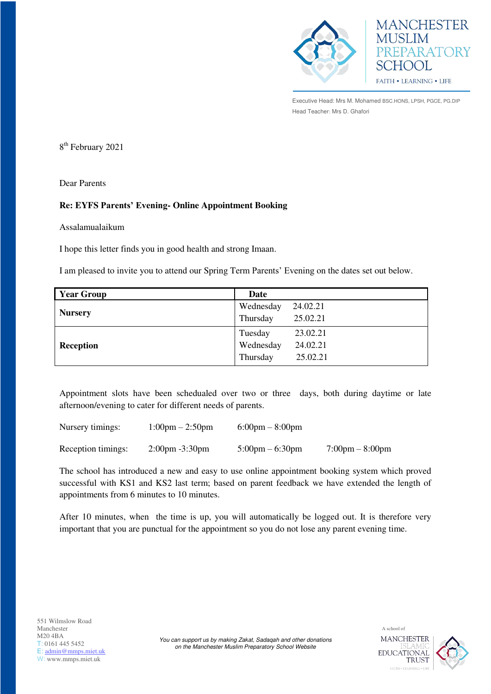

**MANCHESTER** PREPARATORY **SCHOOL** FAITH . LEARNING . LIFE

Executive Head: Mrs M. Mohamed BSC.HONS, LPSH, PGCE, PG.DIP Head Teacher: Mrs D. Ghafori

8 th February 2021

Dear Parents

## **Re: EYFS Parents' Evening- Online Appointment Booking**

Assalamualaikum

I hope this letter finds you in good health and strong Imaan.

I am pleased to invite you to attend our Spring Term Parents' Evening on the dates set out below.

| <b>Year Group</b> | Date                  |  |
|-------------------|-----------------------|--|
|                   | Wednesday<br>24.02.21 |  |
| <b>Nursery</b>    | 25.02.21<br>Thursday  |  |
|                   | 23.02.21<br>Tuesday   |  |
| <b>Reception</b>  | Wednesday<br>24.02.21 |  |
|                   | 25.02.21<br>Thursday  |  |

Appointment slots have been schedualed over two or three days, both during daytime or late afternoon/evening to cater for different needs of parents.

| Nursery timings:   | $1:00 \text{pm} - 2:50 \text{pm}$ | $6:00 \text{pm} - 8:00 \text{pm}$ |                                   |
|--------------------|-----------------------------------|-----------------------------------|-----------------------------------|
| Reception timings: | $2:00 \text{pm} -3:30 \text{pm}$  | $5:00 \text{pm} - 6:30 \text{pm}$ | $7:00 \text{pm} - 8:00 \text{pm}$ |

The school has introduced a new and easy to use online appointment booking system which proved successful with KS1 and KS2 last term; based on parent feedback we have extended the length of appointments from 6 minutes to 10 minutes.

After 10 minutes, when the time is up, you will automatically be logged out. It is therefore very important that you are punctual for the appointment so you do not lose any parent evening time.